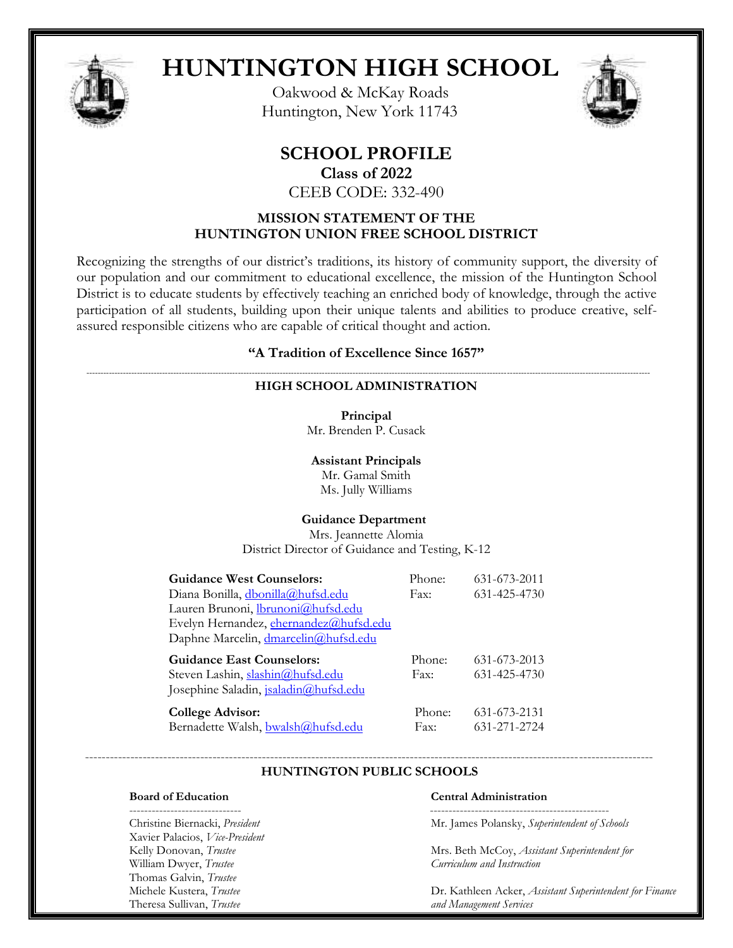

# **HUNTINGTON HIGH SCHOOL**

Oakwood & McKay Roads Huntington, New York 11743



# **SCHOOL PROFILE**

**Class of 2022**

CEEB CODE: 332-490

# **MISSION STATEMENT OF THE HUNTINGTON UNION FREE SCHOOL DISTRICT**

Recognizing the strengths of our district's traditions, its history of community support, the diversity of our population and our commitment to educational excellence, the mission of the Huntington School District is to educate students by effectively teaching an enriched body of knowledge, through the active participation of all students, building upon their unique talents and abilities to produce creative, selfassured responsible citizens who are capable of critical thought and action.

# **"A Tradition of Excellence Since 1657"**

#### *---------------------------------------------------------------------------------------------------------------------------------------------------------------------------------------------------------* **HIGH SCHOOL ADMINISTRATION**

**Principal** Mr. Brenden P. Cusack

**Assistant Principals** Mr. Gamal Smith Ms. Jully Williams

# **Guidance Department**

Mrs. Jeannette Alomia District Director of Guidance and Testing, K-12

| <b>Guidance West Counselors:</b>             | Phone: | 631-673-2011 |
|----------------------------------------------|--------|--------------|
| Diana Bonilla, dbonilla@hufsd.edu            | Fax:   | 631-425-4730 |
| Lauren Brunoni, <i>Ibrunoni@hufsd.edu</i>    |        |              |
| Evelyn Hernandez, ehernandez@hufsd.edu       |        |              |
| Daphne Marcelin, dmarcelin@hufsd.edu         |        |              |
| <b>Guidance East Counselors:</b>             | Phone: | 631-673-2013 |
| Steven Lashin, slashin@hufsd.edu             | Fax:   | 631-425-4730 |
| Josephine Saladin, <i>isaladin@hufsd.edu</i> |        |              |
| <b>College Advisor:</b>                      | Phone: | 631-673-2131 |
| Bernadette Walsh, bwalsh@hufsd.edu           | Fax:   | 631-271-2724 |

#### ------------------------------------------------------------------------------------------------------------------------------------------  **HUNTINGTON PUBLIC SCHOOLS**

------------------------------ ------------------------------------------------ Xavier Palacios, *Vice-President*  Thomas Galvin, *Trustee*  Theresa Sullivan, *Trustee and Management Services*

#### **Board of Education Central Administration**

Christine Biernacki, *President* Mr. James Polansky, *Superintendent of Schools* 

Kelly Donovan, *Trustee* Mrs. Beth McCoy, *Assistant Superintendent for*<br>Milliam Dwyer, *Trustee* Milliam Dwyer, *Trustee* William Dwyer, *Trustee Curriculum and Instruction*

Dr. Kathleen Acker, *Assistant Superintendent for Finance*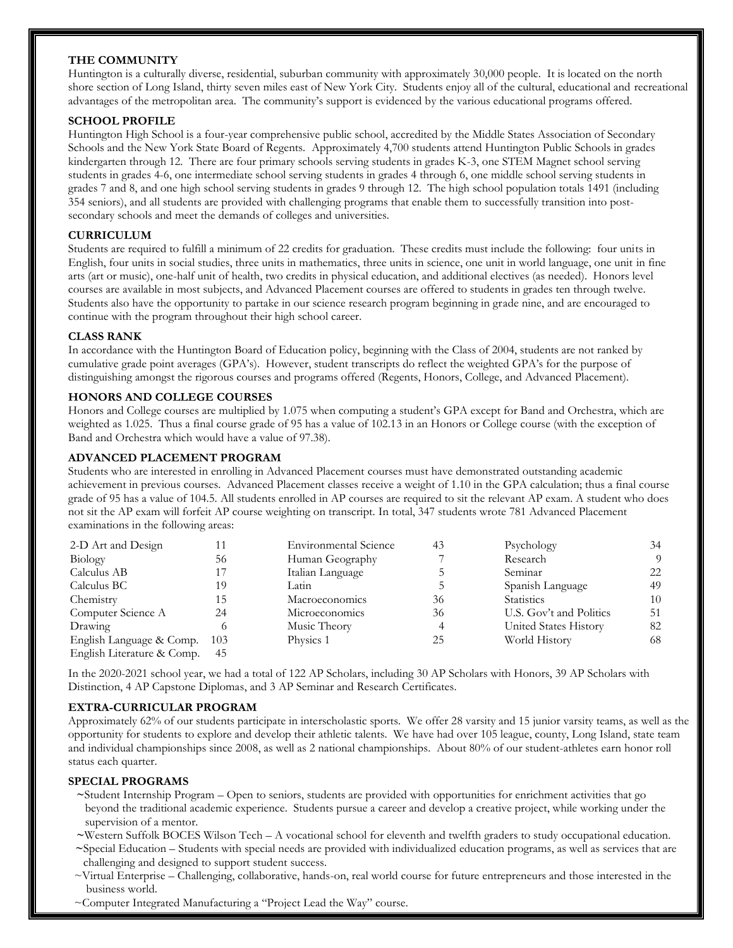#### **THE COMMUNITY**

Huntington is a culturally diverse, residential, suburban community with approximately 30,000 people. It is located on the north shore section of Long Island, thirty seven miles east of New York City. Students enjoy all of the cultural, educational and recreational advantages of the metropolitan area. The community's support is evidenced by the various educational programs offered.

#### **SCHOOL PROFILE**

Huntington High School is a four-year comprehensive public school, accredited by the Middle States Association of Secondary Schools and the New York State Board of Regents. Approximately 4,700 students attend Huntington Public Schools in grades kindergarten through 12. There are four primary schools serving students in grades K-3, one STEM Magnet school serving students in grades 4-6, one intermediate school serving students in grades 4 through 6, one middle school serving students in grades 7 and 8, and one high school serving students in grades 9 through 12. The high school population totals 1491 (including 354 seniors), and all students are provided with challenging programs that enable them to successfully transition into postsecondary schools and meet the demands of colleges and universities.

#### **CURRICULUM**

Students are required to fulfill a minimum of 22 credits for graduation. These credits must include the following: four units in English, four units in social studies, three units in mathematics, three units in science, one unit in world language, one unit in fine arts (art or music), one-half unit of health, two credits in physical education, and additional electives (as needed). Honors level courses are available in most subjects, and Advanced Placement courses are offered to students in grades ten through twelve. Students also have the opportunity to partake in our science research program beginning in grade nine, and are encouraged to continue with the program throughout their high school career.

#### **CLASS RANK**

In accordance with the Huntington Board of Education policy, beginning with the Class of 2004, students are not ranked by cumulative grade point averages (GPA's). However, student transcripts do reflect the weighted GPA's for the purpose of distinguishing amongst the rigorous courses and programs offered (Regents, Honors, College, and Advanced Placement).

#### **HONORS AND COLLEGE COURSES**

Honors and College courses are multiplied by 1.075 when computing a student's GPA except for Band and Orchestra, which are weighted as 1.025. Thus a final course grade of 95 has a value of 102.13 in an Honors or College course (with the exception of Band and Orchestra which would have a value of 97.38).

#### **ADVANCED PLACEMENT PROGRAM**

Students who are interested in enrolling in Advanced Placement courses must have demonstrated outstanding academic achievement in previous courses. Advanced Placement classes receive a weight of 1.10 in the GPA calculation; thus a final course grade of 95 has a value of 104.5. All students enrolled in AP courses are required to sit the relevant AP exam. A student who does not sit the AP exam will forfeit AP course weighting on transcript. In total, 347 students wrote 781 Advanced Placement examinations in the following areas:

| 2-D Art and Design         |     | <b>Environmental Science</b> | 43 | Psychology              | 34       |
|----------------------------|-----|------------------------------|----|-------------------------|----------|
| Biology                    | 56  | Human Geography              |    | Research                | $\Omega$ |
| Calculus AB                |     | Italian Language             |    | Seminar                 | 22       |
| Calculus BC                | 19  | Latin                        |    | Spanish Language        | 49       |
| Chemistry                  | 15  | Macroeconomics               | 36 | <b>Statistics</b>       | 10       |
| Computer Science A         | 24  | Microeconomics               | 36 | U.S. Gov't and Politics | 51       |
| Drawing                    |     | Music Theory                 | 4  | United States History   | 82       |
| English Language & Comp.   | 103 | Physics 1                    | 25 | World History           | 68       |
| English Literature & Comp. | 45  |                              |    |                         |          |

In the 2020-2021 school year, we had a total of 122 AP Scholars, including 30 AP Scholars with Honors, 39 AP Scholars with Distinction, 4 AP Capstone Diplomas, and 3 AP Seminar and Research Certificates.

#### **EXTRA-CURRICULAR PROGRAM**

Approximately 62% of our students participate in interscholastic sports. We offer 28 varsity and 15 junior varsity teams, as well as the opportunity for students to explore and develop their athletic talents. We have had over 105 league, county, Long Island, state team and individual championships since 2008, as well as 2 national championships. About 80% of our student-athletes earn honor roll status each quarter.

#### **SPECIAL PROGRAMS**

- **~**Student Internship Program Open to seniors, students are provided with opportunities for enrichment activities that go beyond the traditional academic experience. Students pursue a career and develop a creative project, while working under the supervision of a mentor.
- **~**Western Suffolk BOCES Wilson Tech A vocational school for eleventh and twelfth graders to study occupational education.
- **~**Special Education Students with special needs are provided with individualized education programs, as well as services that are challenging and designed to support student success.
- ~Virtual Enterprise Challenging, collaborative, hands-on, real world course for future entrepreneurs and those interested in the business world.
- ~Computer Integrated Manufacturing a "Project Lead the Way" course.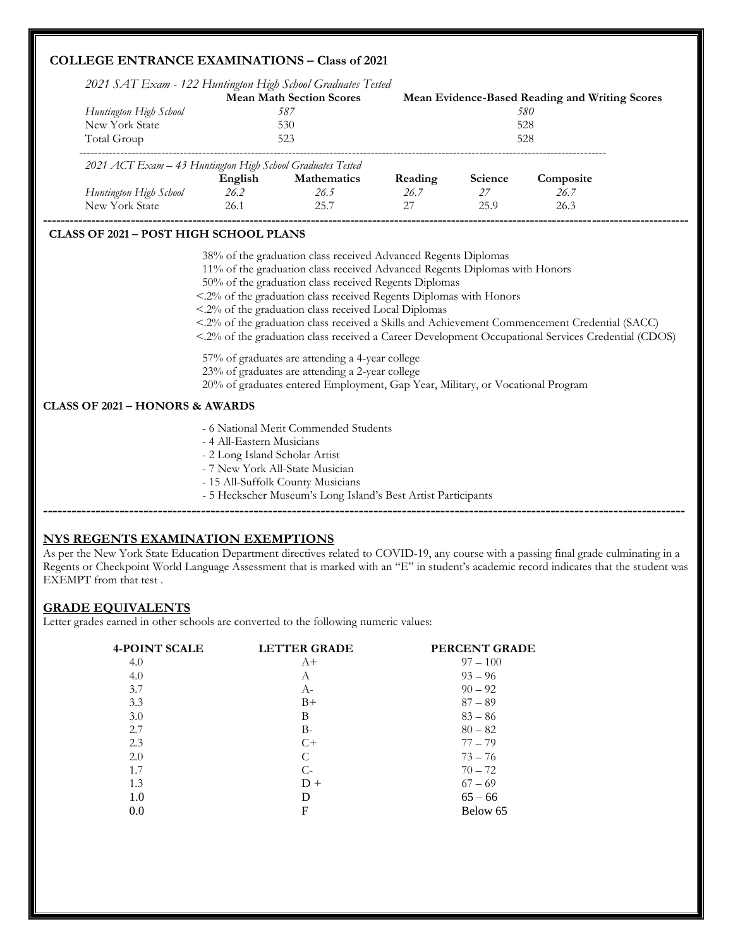### **COLLEGE ENTRANCE EXAMINATIONS – Class of 2021**

| 2021 SAT Exam - 122 Huntington High School Graduates Tested<br>Huntington High School |                           | <b>Mean Math Section Scores</b><br>587                                                                                                                                                                                                                                                                                              |                 |               | Mean Evidence-Based Reading and Writing Scores<br>580                                                                                                                                               |  |
|---------------------------------------------------------------------------------------|---------------------------|-------------------------------------------------------------------------------------------------------------------------------------------------------------------------------------------------------------------------------------------------------------------------------------------------------------------------------------|-----------------|---------------|-----------------------------------------------------------------------------------------------------------------------------------------------------------------------------------------------------|--|
| New York State<br>Total Group                                                         |                           | 530<br>523                                                                                                                                                                                                                                                                                                                          |                 |               | 528<br>528                                                                                                                                                                                          |  |
|                                                                                       |                           |                                                                                                                                                                                                                                                                                                                                     |                 |               |                                                                                                                                                                                                     |  |
| 2021 ACT Exam - 43 Huntington High School Graduates Tested                            |                           |                                                                                                                                                                                                                                                                                                                                     |                 |               |                                                                                                                                                                                                     |  |
| Huntington High School 26.2                                                           | English                   | <b>Mathematics</b><br>26.5                                                                                                                                                                                                                                                                                                          | Reading<br>26.7 | Science<br>27 | Composite<br>26.7                                                                                                                                                                                   |  |
| New York State                                                                        | 26.1                      | 25.7                                                                                                                                                                                                                                                                                                                                | 27              | 25.9          | 26.3                                                                                                                                                                                                |  |
| <b>CLASS OF 2021 - POST HIGH SCHOOL PLANS</b>                                         |                           | 38% of the graduation class received Advanced Regents Diplomas<br>11% of the graduation class received Advanced Regents Diplomas with Honors<br>50% of the graduation class received Regents Diplomas<br><.2% of the graduation class received Regents Diplomas with Honors<br><.2% of the graduation class received Local Diplomas |                 |               | <.2% of the graduation class received a Skills and Achievement Commencement Credential (SACC)<br><.2% of the graduation class received a Career Development Occupational Services Credential (CDOS) |  |
|                                                                                       |                           | 57% of graduates are attending a 4-year college<br>23% of graduates are attending a 2-year college<br>20% of graduates entered Employment, Gap Year, Military, or Vocational Program                                                                                                                                                |                 |               |                                                                                                                                                                                                     |  |
| <b>CLASS OF 2021 - HONORS &amp; AWARDS</b>                                            |                           |                                                                                                                                                                                                                                                                                                                                     |                 |               |                                                                                                                                                                                                     |  |
|                                                                                       | - 4 All-Eastern Musicians | - 6 National Merit Commended Students                                                                                                                                                                                                                                                                                               |                 |               |                                                                                                                                                                                                     |  |

- 4 All-Eastern Musicians
- 2 Long Island Scholar Artist
- 7 New York All-State Musician
- 15 All-Suffolk County Musicians
- 5 Heckscher Museum's Long Island's Best Artist Participants

#### **NYS REGENTS EXAMINATION EXEMPTIONS**

As per the New York State Education Department directives related to COVID-19, any course with a passing final grade culminating in a Regents or Checkpoint World Language Assessment that is marked with an "E" in student's academic record indicates that the student was EXEMPT from that test .

**--------------------------------------------------------------------------------------------------------------------------------------**

#### **GRADE EQUIVALENTS**

Letter grades earned in other schools are converted to the following numeric values:

| <b>4-POINT SCALE</b> | <b>LETTER GRADE</b> | PERCENT GRADE |
|----------------------|---------------------|---------------|
| 4.0                  | $A+$                | $97 - 100$    |
| 4.0                  | А                   | $93 - 96$     |
| 3.7                  | A-                  | $90 - 92$     |
| 3.3                  | $B+$                | $87 - 89$     |
| 3.0                  | B                   | $83 - 86$     |
| 2.7                  | $B-$                | $80 - 82$     |
| 2.3                  | $C+$                | $77 - 79$     |
| 2.0                  | C                   | $73 - 76$     |
| 1.7                  | $C-$                | $70 - 72$     |
| 1.3                  | $D +$               | $67 - 69$     |
| 1.0                  | D                   | $65 - 66$     |
| 0.0                  | F                   | Below 65      |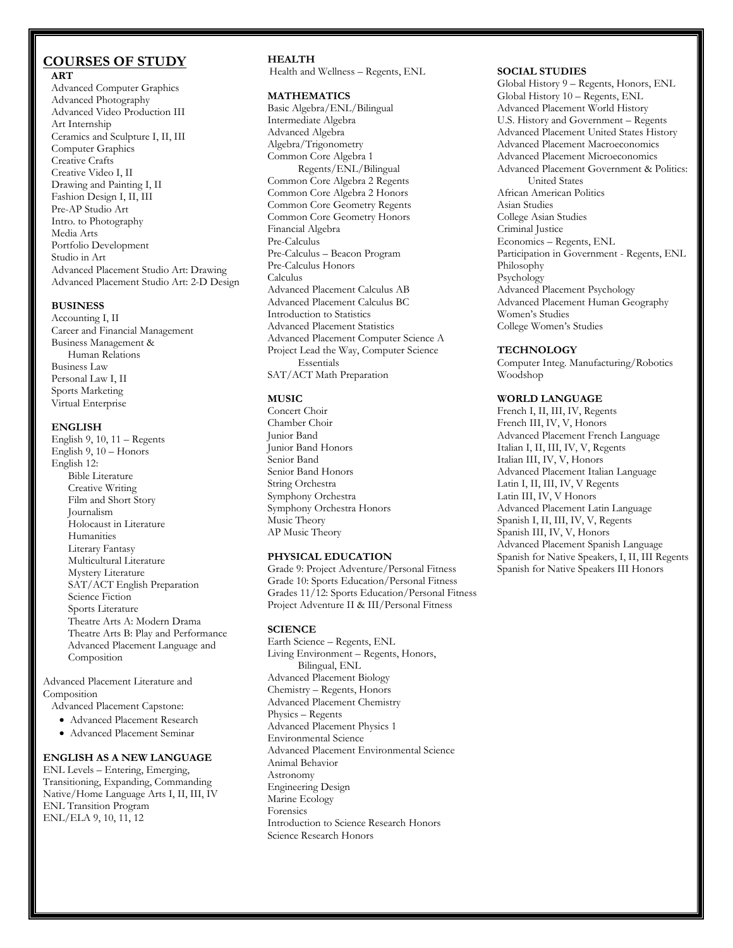# **COURSES OF STUDY**

 **ART** Advanced Computer Graphics Advanced Photography Advanced Video Production III Art Internship Ceramics and Sculpture I, II, III Computer Graphics Creative Crafts Creative Video I, II Drawing and Painting I, II Fashion Design I, II, III Pre-AP Studio Art Intro. to Photography Media Arts Portfolio Development Studio in Art Advanced Placement Studio Art: Drawing Advanced Placement Studio Art: 2-D Design

#### **BUSINESS**

Accounting I, II Career and Financial Management Business Management & Human Relations Business Law Personal Law I, II Sports Marketing Virtual Enterprise

#### **ENGLISH**

English 9, 10, 11 – Regents English 9, 10 – Honors English 12: Bible Literature Creative Writing Film and Short Story Journalism Holocaust in Literature Humanities Literary Fantasy Multicultural Literature Mystery Literature SAT/ACT English Preparation Science Fiction Sports Literature Theatre Arts A: Modern Drama Theatre Arts B: Play and Performance Advanced Placement Language and Composition

Advanced Placement Literature and Composition

Advanced Placement Capstone:

- Advanced Placement Research
- Advanced Placement Seminar

#### **ENGLISH AS A NEW LANGUAGE**

ENL Levels – Entering, Emerging, Transitioning, Expanding, Commanding Native/Home Language Arts I, II, III, IV ENL Transition Program ENL/ELA 9, 10, 11, 12

#### **HEALTH**

Health and Wellness – Regents, ENL

#### **MATHEMATICS**

Basic Algebra/ENL/Bilingual Intermediate Algebra Advanced Algebra Algebra/Trigonometry Common Core Algebra 1 Regents/ENL/Bilingual Common Core Algebra 2 Regents Common Core Algebra 2 Honors Common Core Geometry Regents Common Core Geometry Honors Financial Algebra Pre-Calculus Pre-Calculus – Beacon Program Pre-Calculus Honors Calculus Advanced Placement Calculus AB Advanced Placement Calculus BC Introduction to Statistics Advanced Placement Statistics Advanced Placement Computer Science A Project Lead the Way, Computer Science Essentials SAT/ACT Math Preparation

#### **MUSIC**

Concert Choir Chamber Choir Junior Band Junior Band Honors Senior Band Senior Band Honors String Orchestra Symphony Orchestra Symphony Orchestra Honors Music Theory AP Music Theory

#### **PHYSICAL EDUCATION**

Grade 9: Project Adventure/Personal Fitness Grade 10: Sports Education/Personal Fitness Grades 11/12: Sports Education/Personal Fitness Project Adventure II & III/Personal Fitness

#### **SCIENCE**

Earth Science – Regents, ENL Living Environment – Regents, Honors, Bilingual, ENL Advanced Placement Biology Chemistry – Regents, Honors Advanced Placement Chemistry Physics – Regents Advanced Placement Physics 1 Environmental Science Advanced Placement Environmental Science Animal Behavior Astronomy Engineering Design Marine Ecology Forensics Introduction to Science Research Honors Science Research Honors

#### **SOCIAL STUDIES**

Global History 9 – Regents, Honors, ENL Global History 10 – Regents, ENL Advanced Placement World History U.S. History and Government – Regents Advanced Placement United States History Advanced Placement Macroeconomics Advanced Placement Microeconomics Advanced Placement Government & Politics: United States African American Politics Asian Studies College Asian Studies Criminal Justice Economics – Regents, ENL Participation in Government - Regents, ENL Philosophy Psychology Advanced Placement Psychology Advanced Placement Human Geography Women's Studies College Women's Studies

#### **TECHNOLOGY**

Computer Integ. Manufacturing/Robotics Woodshop

#### **WORLD LANGUAGE**

French I, II, III, IV, Regents French III, IV, V, Honors Advanced Placement French Language Italian I, II, III, IV, V, Regents Italian III, IV, V, Honors Advanced Placement Italian Language Latin I, II, III, IV, V Regents Latin III, IV, V Honors Advanced Placement Latin Language Spanish I, II, III, IV, V, Regents Spanish III, IV, V, Honors Advanced Placement Spanish Language Spanish for Native Speakers, I, II, III Regents Spanish for Native Speakers III Honors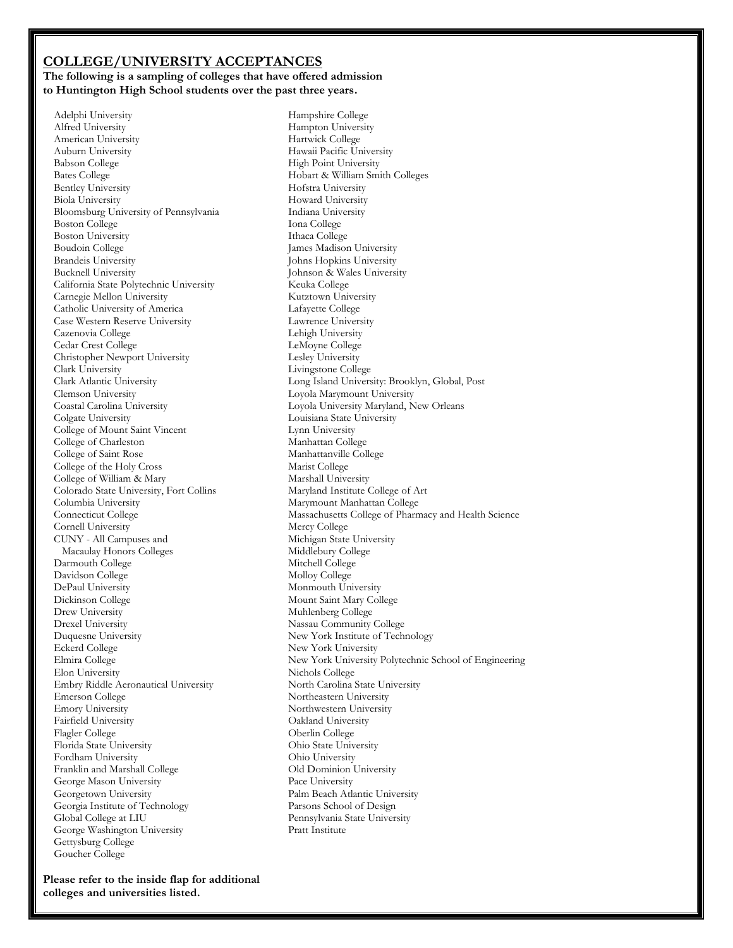#### **COLLEGE/UNIVERSITY ACCEPTANCES The following is a sampling of colleges that have offered admission to Huntington High School students over the past three years.**

 Adelphi University Alfred University American University Auburn University Babson College Bates College Bentley University Biola University Bloomsburg University of Pennsylvania Boston College Boston University Boudoin College Brandeis University Bucknell University California State Polytechnic University Carnegie Mellon University Catholic University of America Case Western Reserve University Cazenovia College Cedar Crest College Christopher Newport University Clark University Clark Atlantic University Clemson University Coastal Carolina University Colgate University College of Mount Saint Vincent College of Charleston College of Saint Rose College of the Holy Cross College of William & Mary Colorado State University, Fort Collins Columbia University Connecticut College Cornell University CUNY - All Campuses and Macaulay Honors Colleges Darmouth College Davidson College DePaul University Dickinson College Drew University Drexel University Duquesne University Eckerd College Elmira College Elon University Embry Riddle Aeronautical University Emerson College Emory University Fairfield University Flagler College Florida State University Fordham University Franklin and Marshall College George Mason University Georgetown University Georgia Institute of Technology Global College at LIU George Washington University Gettysburg College Goucher College

Hampshire College Hampton University Hartwick College Hawaii Pacific University High Point University Hobart & William Smith Colleges Hofstra University Howard University Indiana University Iona College Ithaca College James Madison University Johns Hopkins University Johnson & Wales University Keuka College Kutztown University Lafayette College Lawrence University Lehigh University LeMoyne College Lesley University Livingstone College Long Island University: Brooklyn, Global, Post Loyola Marymount University Loyola University Maryland, New Orleans Louisiana State University Lynn University Manhattan College Manhattanville College Marist College Marshall University Maryland Institute College of Art Marymount Manhattan College Massachusetts College of Pharmacy and Health Science Mercy College Michigan State University Middlebury College Mitchell College Molloy College Monmouth University Mount Saint Mary College Muhlenberg College Nassau Community College New York Institute of Technology New York University New York University Polytechnic School of Engineering Nichols College North Carolina State University Northeastern University Northwestern University Oakland University Oberlin College Ohio State University Ohio University Old Dominion University Pace University Palm Beach Atlantic University Parsons School of Design Pennsylvania State University Pratt Institute

**Please refer to the inside flap for additional colleges and universities listed.**